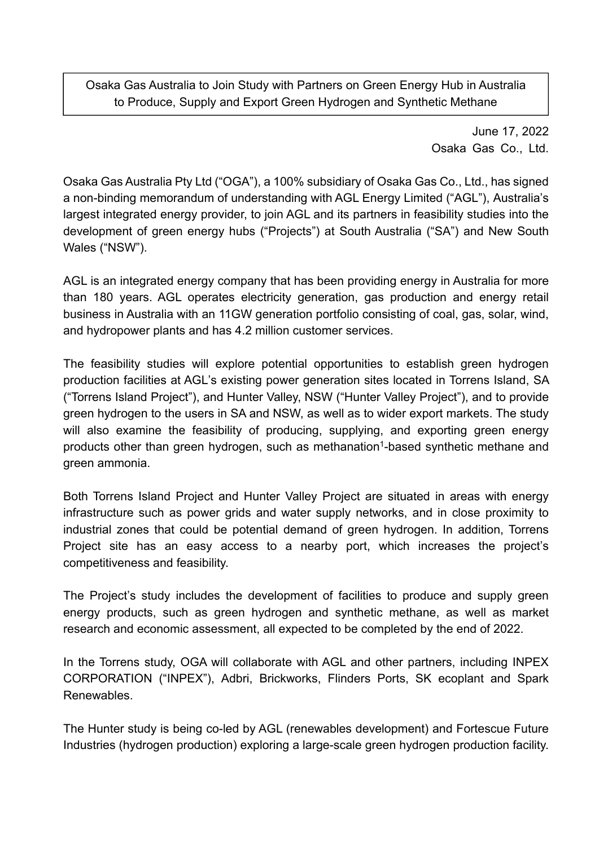Osaka Gas Australia to Join Study with Partners on Green Energy Hub in Australia to Produce, Supply and Export Green Hydrogen and Synthetic Methane

> June 17, 2022 Osaka Gas Co., Ltd.

Osaka Gas Australia Pty Ltd ("OGA"), a 100% subsidiary of Osaka Gas Co., Ltd., has signed a non-binding memorandum of understanding with AGL Energy Limited ("AGL"), Australia's largest integrated energy provider, to join AGL and its partners in feasibility studies into the development of green energy hubs ("Projects") at South Australia ("SA") and New South Wales ("NSW").

AGL is an integrated energy company that has been providing energy in Australia for more than 180 years. AGL operates electricity generation, gas production and energy retail business in Australia with an 11GW generation portfolio consisting of coal, gas, solar, wind, and hydropower plants and has 4.2 million customer services.

The feasibility studies will explore potential opportunities to establish green hydrogen production facilities at AGL's existing power generation sites located in Torrens Island, SA ("Torrens Island Project"), and Hunter Valley, NSW ("Hunter Valley Project"), and to provide green hydrogen to the users in SA and NSW, as well as to wider export markets. The study will also examine the feasibility of producing, supplying, and exporting green energy products other than green hydrogen, such as methanation<sup>1</sup>-based synthetic methane and green ammonia.

Both Torrens Island Project and Hunter Valley Project are situated in areas with energy infrastructure such as power grids and water supply networks, and in close proximity to industrial zones that could be potential demand of green hydrogen. In addition, Torrens Project site has an easy access to a nearby port, which increases the project's competitiveness and feasibility.

The Project's study includes the development of facilities to produce and supply green energy products, such as green hydrogen and synthetic methane, as well as market research and economic assessment, all expected to be completed by the end of 2022.

In the Torrens study, OGA will collaborate with AGL and other partners, including INPEX CORPORATION ("INPEX"), Adbri, Brickworks, Flinders Ports, SK ecoplant and Spark Renewables.

The Hunter study is being co-led by AGL (renewables development) and Fortescue Future Industries (hydrogen production) exploring a large-scale green hydrogen production facility.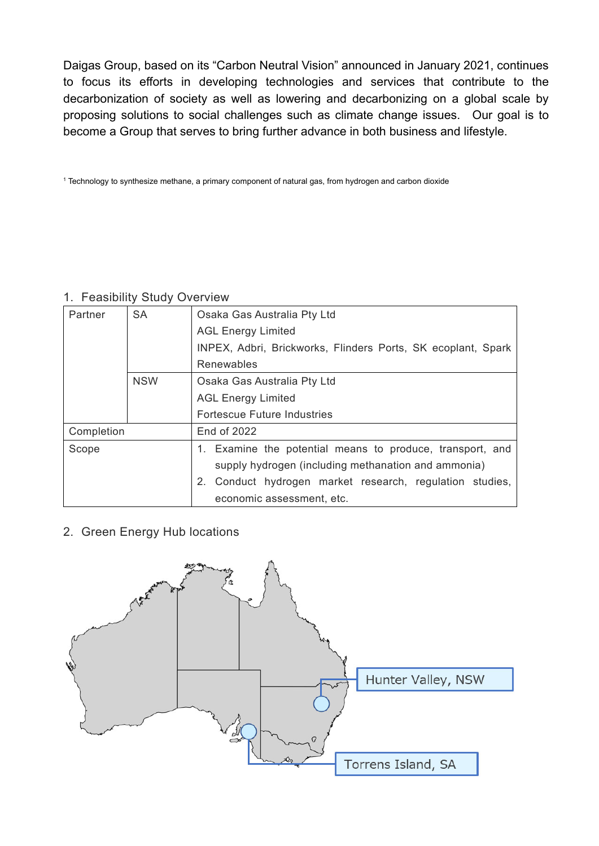Daigas Group, based on its "Carbon Neutral Vision" announced in January 2021, continues to focus its efforts in developing technologies and services that contribute to the decarbonization of society as well as lowering and decarbonizing on a global scale by proposing solutions to social challenges such as climate change issues. Our goal is to become a Group that serves to bring further advance in both business and lifestyle.

<sup>1</sup> Technology to synthesize methane, a primary component of natural gas, from hydrogen and carbon dioxide

## 1. Feasibility Study Overview

| Partner    | <b>SA</b>  | Osaka Gas Australia Pty Ltd                                                                                      |
|------------|------------|------------------------------------------------------------------------------------------------------------------|
|            |            | <b>AGL Energy Limited</b>                                                                                        |
|            |            | INPEX, Adbri, Brickworks, Flinders Ports, SK ecoplant, Spark                                                     |
|            |            | Renewables                                                                                                       |
|            | <b>NSW</b> | Osaka Gas Australia Pty Ltd                                                                                      |
|            |            | <b>AGL Energy Limited</b>                                                                                        |
|            |            | <b>Fortescue Future Industries</b>                                                                               |
| Completion |            | <b>End of 2022</b>                                                                                               |
| Scope      |            | 1. Examine the potential means to produce, transport, and<br>supply hydrogen (including methanation and ammonia) |
|            |            | 2. Conduct hydrogen market research, regulation studies,<br>economic assessment, etc.                            |

2. Green Energy Hub locations